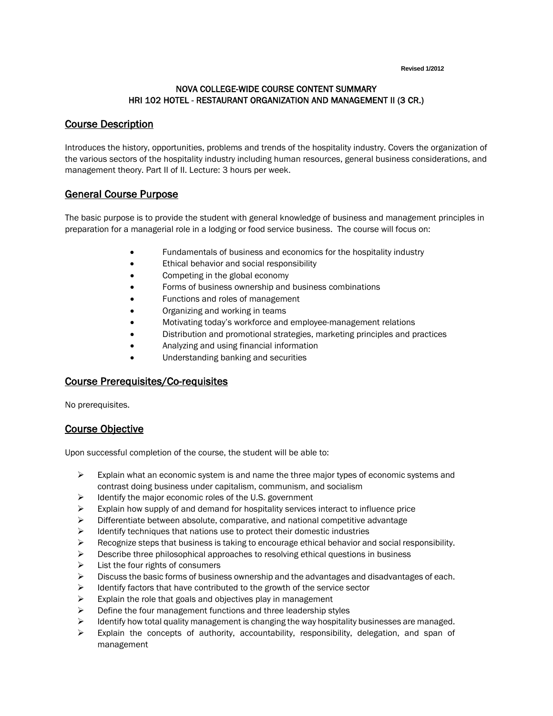**Revised 1/2012**

#### NOVA COLLEGE-WIDE COURSE CONTENT SUMMARY HRI 102 HOTEL - RESTAURANT ORGANIZATION AND MANAGEMENT II (3 CR.)

#### Course Description

Introduces the history, opportunities, problems and trends of the hospitality industry. Covers the organization of the various sectors of the hospitality industry including human resources, general business considerations, and management theory. Part II of II. Lecture: 3 hours per week.

#### General Course Purpose

The basic purpose is to provide the student with general knowledge of business and management principles in preparation for a managerial role in a lodging or food service business. The course will focus on:

- Fundamentals of business and economics for the hospitality industry
- Ethical behavior and social responsibility
- Competing in the global economy
- Forms of business ownership and business combinations
- Functions and roles of management
- Organizing and working in teams
- Motivating today's workforce and employee-management relations
- Distribution and promotional strategies, marketing principles and practices
- Analyzing and using financial information
- Understanding banking and securities

# Course Prerequisites/Co-requisites

No prerequisites.

# Course Objective

Upon successful completion of the course, the student will be able to:

- $\triangleright$  Explain what an economic system is and name the three major types of economic systems and contrast doing business under capitalism, communism, and socialism
- $\triangleright$  Identify the major economic roles of the U.S. government
- $\triangleright$  Explain how supply of and demand for hospitality services interact to influence price
- Differentiate between absolute, comparative, and national competitive advantage
- $\triangleright$  Identify techniques that nations use to protect their domestic industries
- $\triangleright$  Recognize steps that business is taking to encourage ethical behavior and social responsibility.
- $\triangleright$  Describe three philosophical approaches to resolving ethical questions in business
- $\triangleright$  List the four rights of consumers
- $\triangleright$  Discuss the basic forms of business ownership and the advantages and disadvantages of each.
- $\triangleright$  Identify factors that have contributed to the growth of the service sector
- $\triangleright$  Explain the role that goals and objectives play in management
- $\triangleright$  Define the four management functions and three leadership styles
- $\triangleright$  Identify how total quality management is changing the way hospitality businesses are managed.
- $\triangleright$  Explain the concepts of authority, accountability, responsibility, delegation, and span of management